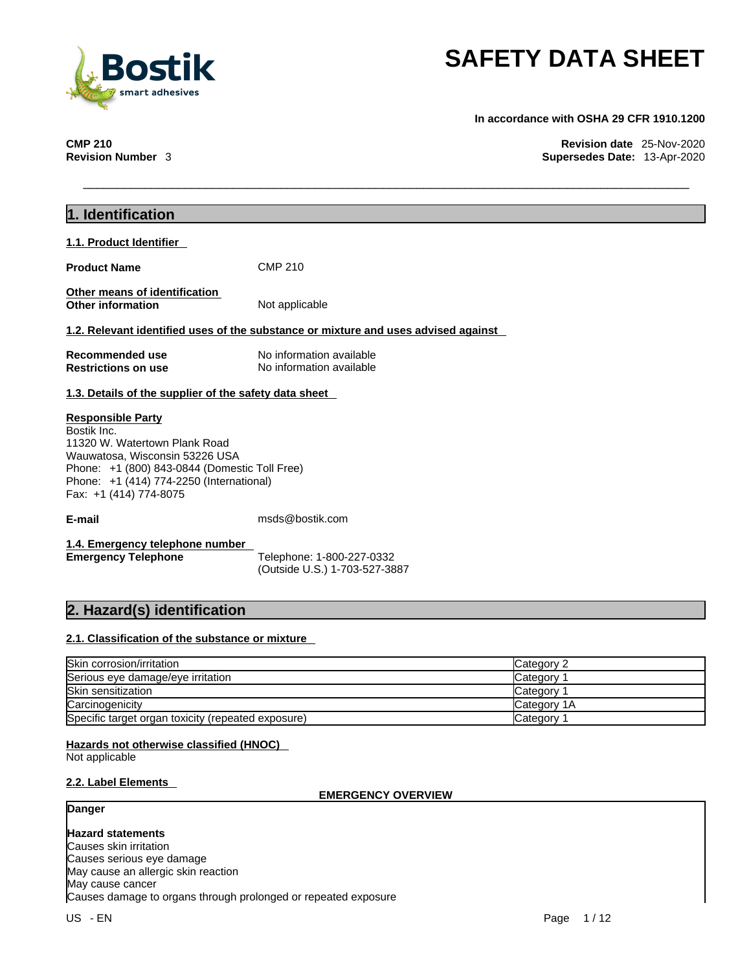

**In accordance with OSHA 29 CFR 1910.1200** 

**CMP 210 Revision date** 25-Nov-2020 **Revision Number** 3 **Supersedes Date:** 13-Apr-2020

| 1. Identification                                                                                                                                                                                                                 |                                                                                    |            |
|-----------------------------------------------------------------------------------------------------------------------------------------------------------------------------------------------------------------------------------|------------------------------------------------------------------------------------|------------|
| 1.1. Product Identifier                                                                                                                                                                                                           |                                                                                    |            |
| <b>Product Name</b>                                                                                                                                                                                                               | <b>CMP 210</b>                                                                     |            |
| Other means of identification<br>Other information                                                                                                                                                                                | Not applicable                                                                     |            |
|                                                                                                                                                                                                                                   | 1.2. Relevant identified uses of the substance or mixture and uses advised against |            |
| <b>Recommended use</b><br><b>Restrictions on use</b>                                                                                                                                                                              | No information available<br>No information available                               |            |
| 1.3. Details of the supplier of the safety data sheet                                                                                                                                                                             |                                                                                    |            |
| <b>Responsible Party</b><br>Bostik Inc.<br>11320 W. Watertown Plank Road<br>Wauwatosa, Wisconsin 53226 USA<br>Phone: +1 (800) 843-0844 (Domestic Toll Free)<br>Phone: +1 (414) 774-2250 (International)<br>Fax: +1 (414) 774-8075 |                                                                                    |            |
| E-mail                                                                                                                                                                                                                            | msds@bostik.com                                                                    |            |
| 1.4. Emergency telephone number<br><b>Emergency Telephone</b>                                                                                                                                                                     | Telephone: 1-800-227-0332<br>(Outside U.S.) 1-703-527-3887                         |            |
| 2. Hazard(s) identification                                                                                                                                                                                                       |                                                                                    |            |
| 2.1. Classification of the substance or mixture                                                                                                                                                                                   |                                                                                    |            |
| Skin corrosion/irritation                                                                                                                                                                                                         |                                                                                    | Category 2 |
| Serious eye damage/eye irritation                                                                                                                                                                                                 |                                                                                    | Category 1 |

| Serious eye damage/eye irritation                  | Category     |
|----------------------------------------------------|--------------|
| <b>Skin sensitization</b>                          | Category     |
| Carcinogenicity                                    | lCategory 1A |
| Specific target organ toxicity (repeated exposure) | Category     |

#### **Hazards not otherwise classified (HNOC)**

Not applicable

### **2.2. Label Elements**

#### **EMERGENCY OVERVIEW**

### **Danger**

**Hazard statements** Causes skin irritation Causes serious eye damage May cause an allergic skin reaction May cause cancer Causes damage to organs through prolonged or repeated exposure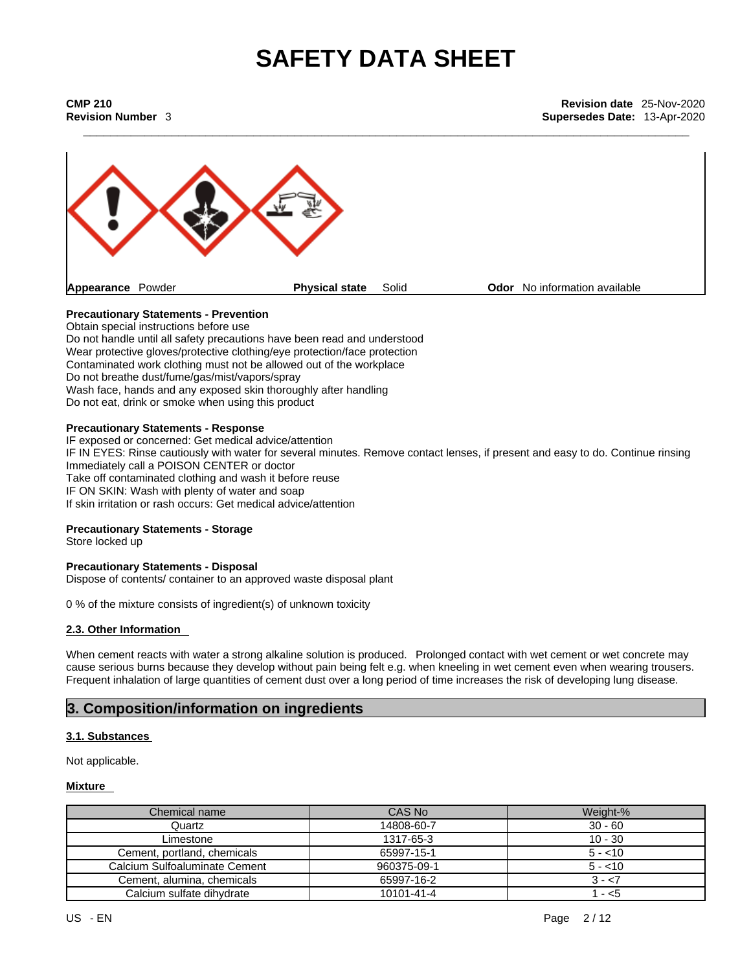**\_\_\_\_\_\_\_\_\_\_\_\_\_\_\_\_\_\_\_\_\_\_\_\_\_\_\_\_\_\_\_\_\_\_\_\_\_\_\_\_\_\_\_\_\_\_\_\_\_\_\_\_\_\_\_\_\_\_\_\_\_\_\_\_\_\_\_\_\_\_\_\_\_\_\_\_\_\_\_\_\_\_\_\_\_\_\_\_\_ CMP 210 Revision date** 25-Nov-2020 **Revision Number** 3 **Supersedes Date:** 13-Apr-2020



#### **Precautionary Statements - Prevention**

Obtain special instructions before use Do not handle until all safety precautions have been read and understood Wear protective gloves/protective clothing/eye protection/face protection Contaminated work clothing must not be allowed out of the workplace Do not breathe dust/fume/gas/mist/vapors/spray Wash face, hands and any exposed skin thoroughly after handling Do not eat, drink or smoke when using this product

#### **Precautionary Statements - Response**

IF exposed or concerned: Get medical advice/attention IF IN EYES: Rinse cautiously with water for several minutes. Remove contact lenses, if present and easy to do. Continue rinsing Immediately call a POISON CENTER or doctor Take off contaminated clothing and wash it before reuse IF ON SKIN: Wash with plenty of water and soap If skin irritation or rash occurs: Get medical advice/attention

#### **Precautionary Statements - Storage**

Store locked up

#### **Precautionary Statements - Disposal**

Dispose of contents/ container to an approved waste disposal plant

0 % of the mixture consists of ingredient(s) of unknown toxicity

#### **2.3. Other Information**

When cement reacts with water a strong alkaline solution is produced. Prolonged contact with wet cement or wet concrete may cause serious burns because they develop without pain being felt e.g. when kneeling in wet cementeven when wearing trousers. Frequent inhalation of large quantities of cement dust over a long period of time increases the risk of developing lung disease.

### **3. Composition/information on ingredients**

#### **3.1. Substances**

Not applicable.

#### **Mixture**

| Chemical name                 | CAS No      | Weight-%  |
|-------------------------------|-------------|-----------|
| Quartz                        | 14808-60-7  | $30 - 60$ |
| Limestone                     | 1317-65-3   | $10 - 30$ |
| Cement, portland, chemicals   | 65997-15-1  | $5 - 10$  |
| Calcium Sulfoaluminate Cement | 960375-09-1 | $5 - 10$  |
| Cement, alumina, chemicals    | 65997-16-2  | $3 - 57$  |
| Calcium sulfate dihydrate     | 10101-41-4  | $-5$      |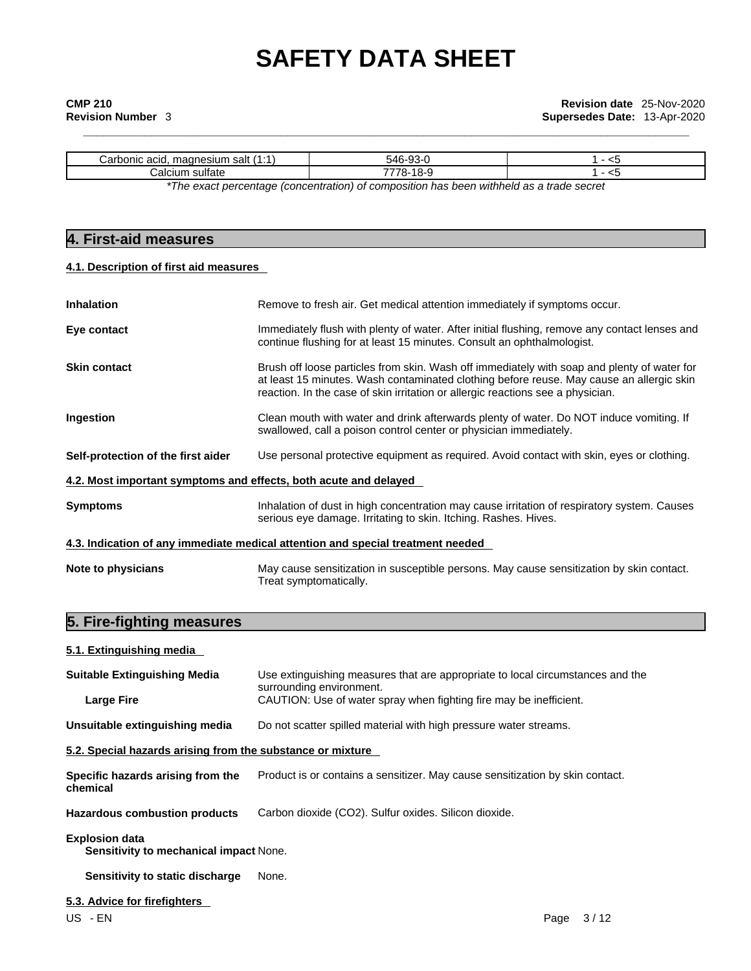| salt<br>∴arr<br>ım<br>--<br>200 <sub>10</sub><br>ules".<br>пи.<br>aulu- |     |     |  |
|-------------------------------------------------------------------------|-----|-----|--|
| . .<br>∴alciur<br>sultate                                               | . . | . . |  |
|                                                                         |     |     |  |

*\*The exact percentage (concentration) ofcomposition has been withheld as a trade secret*

### **4. First-aid measures**

#### **4.1. Description of first aid measures**

| <b>Inhalation</b>                                                | Remove to fresh air. Get medical attention immediately if symptoms occur.                                                                                                                                                                                                  |  |  |
|------------------------------------------------------------------|----------------------------------------------------------------------------------------------------------------------------------------------------------------------------------------------------------------------------------------------------------------------------|--|--|
| Eye contact                                                      | Immediately flush with plenty of water. After initial flushing, remove any contact lenses and<br>continue flushing for at least 15 minutes. Consult an ophthalmologist.                                                                                                    |  |  |
| <b>Skin contact</b>                                              | Brush off loose particles from skin. Wash off immediately with soap and plenty of water for<br>at least 15 minutes. Wash contaminated clothing before reuse. May cause an allergic skin<br>reaction. In the case of skin irritation or allergic reactions see a physician. |  |  |
| Ingestion                                                        | Clean mouth with water and drink afterwards plenty of water. Do NOT induce vomiting. If<br>swallowed, call a poison control center or physician immediately.                                                                                                               |  |  |
| Self-protection of the first aider                               | Use personal protective equipment as required. Avoid contact with skin, eyes or clothing.                                                                                                                                                                                  |  |  |
| 4.2. Most important symptoms and effects, both acute and delayed |                                                                                                                                                                                                                                                                            |  |  |
| <b>Symptoms</b>                                                  | Inhalation of dust in high concentration may cause irritation of respiratory system. Causes<br>serious eye damage. Irritating to skin. Itching. Rashes. Hives.                                                                                                             |  |  |
|                                                                  | 4.3. Indication of any immediate medical attention and special treatment needed                                                                                                                                                                                            |  |  |
| Note to physicians                                               | May cause sensitization in susceptible persons. May cause sensitization by skin contact.<br>Treat symptomatically.                                                                                                                                                         |  |  |

## **5. Fire-fighting measures**

### **5.1. Extinguishing media**

| <b>Suitable Extinguishing Media</b>                             | Use extinguishing measures that are appropriate to local circumstances and the<br>surrounding environment. |
|-----------------------------------------------------------------|------------------------------------------------------------------------------------------------------------|
| <b>Large Fire</b>                                               | CAUTION: Use of water spray when fighting fire may be inefficient.                                         |
| Unsuitable extinguishing media                                  | Do not scatter spilled material with high pressure water streams.                                          |
| 5.2. Special hazards arising from the substance or mixture      |                                                                                                            |
| Specific hazards arising from the<br>chemical                   | Product is or contains a sensitizer. May cause sensitization by skin contact.                              |
| <b>Hazardous combustion products</b>                            | Carbon dioxide (CO2). Sulfur oxides. Silicon dioxide.                                                      |
| <b>Explosion data</b><br>Sensitivity to mechanical impact None. |                                                                                                            |
| Sensitivity to static discharge                                 | None.                                                                                                      |
| 5.3. Advice for firefighters                                    |                                                                                                            |
| US - EN                                                         | 3/12<br>Page                                                                                               |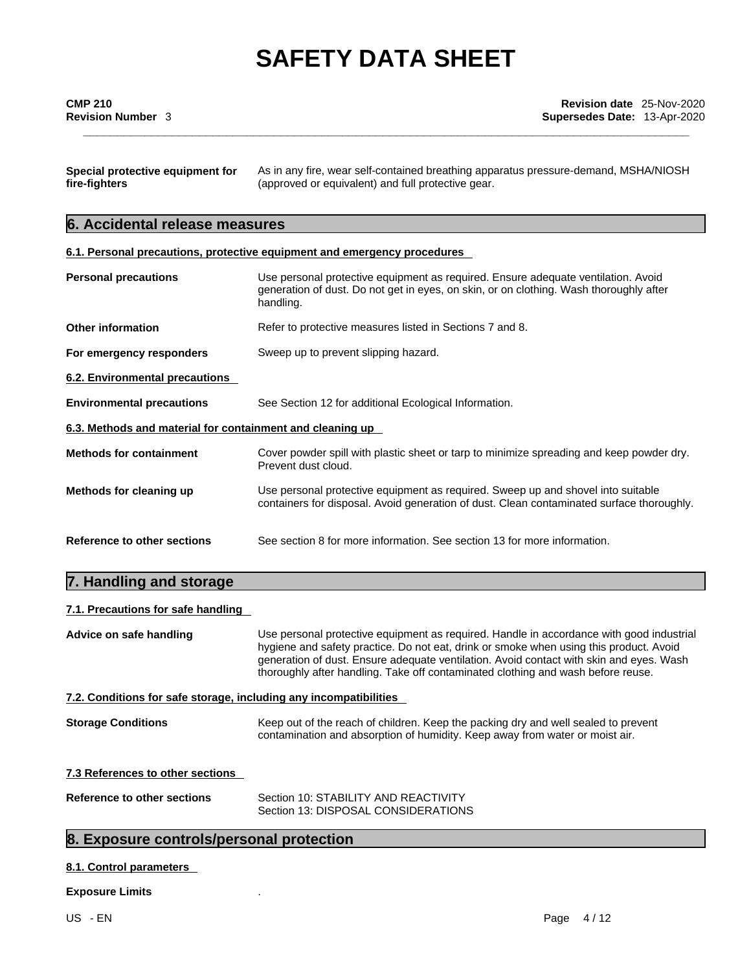| Special protective equipment for | As in any fire, wear self-contained breathing apparatus pressure-demand, MSHA/NIOSH |
|----------------------------------|-------------------------------------------------------------------------------------|
| fire-fighters                    | (approved or equivalent) and full protective gear.                                  |

## **6. Accidental release measures**

| 6.1. Personal precautions, protective equipment and emergency procedures |
|--------------------------------------------------------------------------|
|--------------------------------------------------------------------------|

| <b>Personal precautions</b>                               | Use personal protective equipment as required. Ensure adequate ventilation. Avoid<br>generation of dust. Do not get in eyes, on skin, or on clothing. Wash thoroughly after<br>handling. |
|-----------------------------------------------------------|------------------------------------------------------------------------------------------------------------------------------------------------------------------------------------------|
| <b>Other information</b>                                  | Refer to protective measures listed in Sections 7 and 8.                                                                                                                                 |
| For emergency responders                                  | Sweep up to prevent slipping hazard.                                                                                                                                                     |
| 6.2. Environmental precautions                            |                                                                                                                                                                                          |
| <b>Environmental precautions</b>                          | See Section 12 for additional Ecological Information.                                                                                                                                    |
| 6.3. Methods and material for containment and cleaning up |                                                                                                                                                                                          |
|                                                           |                                                                                                                                                                                          |
|                                                           | Cover powder spill with plastic sheet or tarp to minimize spreading and keep powder dry.<br>Prevent dust cloud.                                                                          |
| <b>Methods for containment</b><br>Methods for cleaning up | Use personal protective equipment as required. Sweep up and shovel into suitable<br>containers for disposal. Avoid generation of dust. Clean contaminated surface thoroughly.            |

### **7. Handling and storage**

#### **7.1. Precautions for safe handling**

| Advice on safe handling                                           | Use personal protective equipment as required. Handle in accordance with good industrial<br>hygiene and safety practice. Do not eat, drink or smoke when using this product. Avoid<br>generation of dust. Ensure adequate ventilation. Avoid contact with skin and eyes. Wash<br>thoroughly after handling. Take off contaminated clothing and wash before reuse. |
|-------------------------------------------------------------------|-------------------------------------------------------------------------------------------------------------------------------------------------------------------------------------------------------------------------------------------------------------------------------------------------------------------------------------------------------------------|
| 7.2. Conditions for safe storage, including any incompatibilities |                                                                                                                                                                                                                                                                                                                                                                   |
| <b>Storage Conditions</b>                                         | Keep out of the reach of children. Keep the packing dry and well sealed to prevent<br>contamination and absorption of humidity. Keep away from water or moist air.                                                                                                                                                                                                |
| 7.3 References to other sections                                  |                                                                                                                                                                                                                                                                                                                                                                   |
| Reference to other sections                                       | Section 10: STABILITY AND REACTIVITY<br>Section 13: DISPOSAL CONSIDERATIONS                                                                                                                                                                                                                                                                                       |

## **8. Exposure controls/personal protection**

#### **8.1. Control parameters**

#### **Exposure Limits** .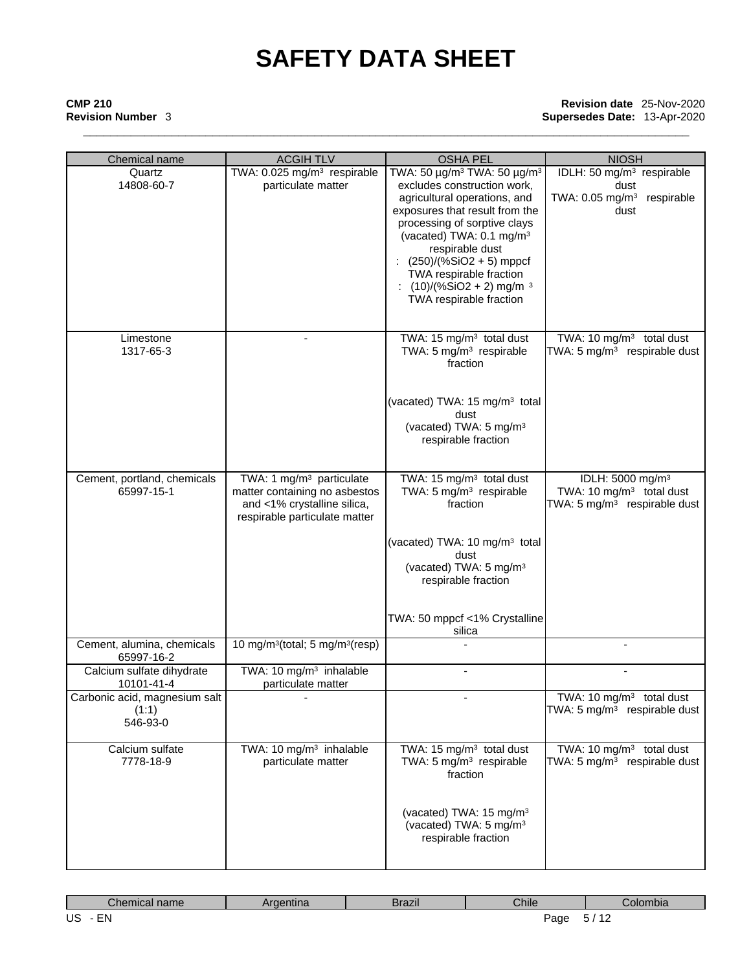# **\_\_\_\_\_\_\_\_\_\_\_\_\_\_\_\_\_\_\_\_\_\_\_\_\_\_\_\_\_\_\_\_\_\_\_\_\_\_\_\_\_\_\_\_\_\_\_\_\_\_\_\_\_\_\_\_\_\_\_\_\_\_\_\_\_\_\_\_\_\_\_\_\_\_\_\_\_\_\_\_\_\_\_\_\_\_\_\_\_ CMP 210 Revision date** 25-Nov-2020 **Revision Number** 3 **Supersedes Date:** 13-Apr-2020

| Chemical name                                                                                            | <b>ACGIHTLV</b>                                                                                                                       | <b>OSHA PEL</b>                                                                                                                                                                                                                                                                                                                                         | <b>NIOSH</b>                                                                                                     |
|----------------------------------------------------------------------------------------------------------|---------------------------------------------------------------------------------------------------------------------------------------|---------------------------------------------------------------------------------------------------------------------------------------------------------------------------------------------------------------------------------------------------------------------------------------------------------------------------------------------------------|------------------------------------------------------------------------------------------------------------------|
| TWA: 0.025 mg/m <sup>3</sup> respirable<br>Quartz<br>14808-60-7<br>particulate matter<br>respirable dust |                                                                                                                                       | TWA: 50 μg/m <sup>3</sup> TWA: 50 μg/m <sup>3</sup><br>excludes construction work,<br>agricultural operations, and<br>exposures that result from the<br>processing of sorptive clays<br>(vacated) TWA: 0.1 mg/m <sup>3</sup><br>$(250)/(%SiO2 + 5)$ mppcf<br>TWA respirable fraction<br>$(10)/(%SiO2 + 2)$ mg/m <sup>3</sup><br>TWA respirable fraction | IDLH: 50 mg/m <sup>3</sup> respirable<br>dust<br>TWA: $0.05$ mg/m <sup>3</sup><br>respirable<br>dust             |
| Limestone<br>1317-65-3                                                                                   |                                                                                                                                       | TWA: 15 mg/m <sup>3</sup> total dust<br>TWA: 5 mg/m <sup>3</sup> respirable<br>fraction<br>(vacated) TWA: 15 mg/m <sup>3</sup> total<br>dust<br>(vacated) TWA: 5 mg/m <sup>3</sup><br>respirable fraction                                                                                                                                               | TWA: 10 mg/m <sup>3</sup> total dust<br>TWA: 5 mg/m <sup>3</sup> respirable dust                                 |
| Cement, portland, chemicals<br>65997-15-1                                                                | TWA: 1 mg/m <sup>3</sup> particulate<br>matter containing no asbestos<br>and <1% crystalline silica,<br>respirable particulate matter | TWA: 15 mg/m <sup>3</sup> total dust<br>TWA: 5 mg/m <sup>3</sup> respirable<br>fraction<br>(vacated) TWA: 10 mg/m <sup>3</sup> total<br>dust<br>(vacated) TWA: 5 mg/m <sup>3</sup><br>respirable fraction<br>TWA: 50 mppcf <1% Crystalline<br>silica                                                                                                    | IDLH: 5000 mg/m <sup>3</sup><br>TWA: 10 mg/m <sup>3</sup> total dust<br>TWA: 5 mg/m <sup>3</sup> respirable dust |
| Cement, alumina, chemicals<br>65997-16-2                                                                 | 10 mg/m <sup>3</sup> (total; 5 mg/m <sup>3</sup> (resp)                                                                               |                                                                                                                                                                                                                                                                                                                                                         |                                                                                                                  |
| Calcium sulfate dihydrate<br>10101-41-4                                                                  | TWA: 10 mg/m <sup>3</sup> inhalable<br>particulate matter                                                                             |                                                                                                                                                                                                                                                                                                                                                         |                                                                                                                  |
| Carbonic acid, magnesium salt<br>(1:1)<br>546-93-0                                                       |                                                                                                                                       |                                                                                                                                                                                                                                                                                                                                                         | $\overline{\text{TW}}$ A: 10 mg/m <sup>3</sup> total dust<br>TWA: 5 mg/m <sup>3</sup> respirable dust            |
| Calcium sulfate<br>7778-18-9                                                                             | TWA: 10 mg/m <sup>3</sup> inhalable<br>particulate matter                                                                             | TWA: 15 mg/m <sup>3</sup> total dust<br>TWA: 5 mg/m <sup>3</sup> respirable<br>fraction<br>(vacated) TWA: 15 mg/m <sup>3</sup><br>(vacated) TWA: 5 mg/m <sup>3</sup><br>respirable fraction                                                                                                                                                             | TWA: 10 mg/m <sup>3</sup> total dust<br>TWA: 5 $mg/m3$ respirable dust                                           |

| Chemical name         | Argentina | <b>Brazil</b> | Chile | Colombia             |
|-----------------------|-----------|---------------|-------|----------------------|
| US<br>$- \cdot$<br>cΝ |           |               | Page  | _<br>. .<br>ີ<br>. . |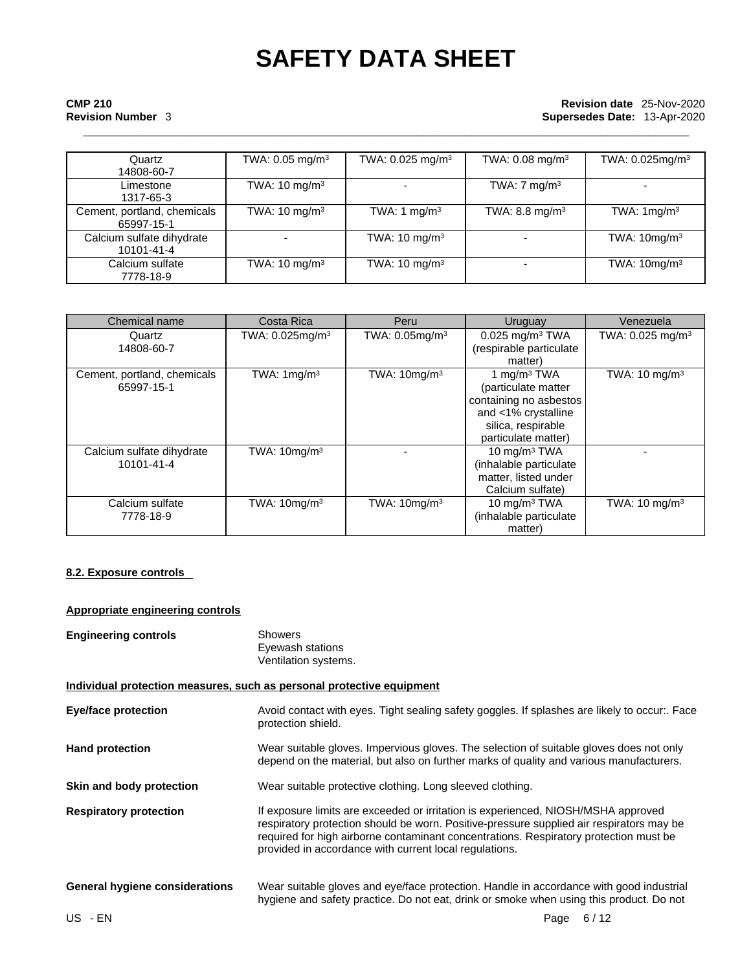# **\_\_\_\_\_\_\_\_\_\_\_\_\_\_\_\_\_\_\_\_\_\_\_\_\_\_\_\_\_\_\_\_\_\_\_\_\_\_\_\_\_\_\_\_\_\_\_\_\_\_\_\_\_\_\_\_\_\_\_\_\_\_\_\_\_\_\_\_\_\_\_\_\_\_\_\_\_\_\_\_\_\_\_\_\_\_\_\_\_ CMP 210 Revision date** 25-Nov-2020 **Revision Number** 3 **Supersedes Date:** 13-Apr-2020

| Quartz                                    | TWA: 0.05 mg/m <sup>3</sup> | TWA: 0.025 mg/m <sup>3</sup> | TWA: 0.08 mg/m <sup>3</sup> | TWA: 0.025mg/m <sup>3</sup> |
|-------------------------------------------|-----------------------------|------------------------------|-----------------------------|-----------------------------|
| 14808-60-7                                |                             |                              |                             |                             |
| Limestone<br>1317-65-3                    | TWA: $10 \text{ mg/m}^3$    | $\overline{\phantom{0}}$     | TWA: $7 \text{ mg/m}^3$     |                             |
| Cement, portland, chemicals<br>65997-15-1 | TWA: $10 \text{ mg/m}^3$    | TWA: 1 $mq/m3$               | TWA: 8.8 mg/m $3$           | TWA: $1 \text{mg/m}^3$      |
| Calcium sulfate dihydrate<br>10101-41-4   |                             | TWA: $10 \text{ mg/m}^3$     |                             | TWA: $10mg/m3$              |
| Calcium sulfate<br>7778-18-9              | TWA: $10 \text{ mg/m}^3$    | TWA: $10 \text{ mg/m}^3$     |                             | TWA: $10mg/m3$              |

| Chemical name                             | Costa Rica                  | Peru                       | Uruguay                                                                                                                                      | Venezuela                    |
|-------------------------------------------|-----------------------------|----------------------------|----------------------------------------------------------------------------------------------------------------------------------------------|------------------------------|
| Quartz<br>14808-60-7                      | TWA: 0.025mg/m <sup>3</sup> | TWA: 0.05mg/m <sup>3</sup> | $0.025$ mg/m <sup>3</sup> TWA<br>(respirable particulate<br>matter)                                                                          | TWA: 0.025 mg/m <sup>3</sup> |
| Cement, portland, chemicals<br>65997-15-1 | TWA: $1 \text{mg/m}^3$      | TWA: $10mg/m3$             | 1 mg/m <sup>3</sup> TWA<br>(particulate matter<br>containing no asbestos<br>and <1% crystalline<br>silica, respirable<br>particulate matter) | TWA: $10 \text{ mg/m}^3$     |
| Calcium sulfate dihydrate<br>10101-41-4   | TWA: $10mg/m3$              |                            | 10 mg/m $3$ TWA<br>(inhalable particulate<br>matter, listed under<br>Calcium sulfate)                                                        |                              |
| Calcium sulfate<br>7778-18-9              | TWA: $10mg/m3$              | TWA: $10mg/m3$             | 10 mg/m $3$ TWA<br>(inhalable particulate<br>matter)                                                                                         | TWA: $10 \text{ mg/m}^3$     |

### **8.2. Exposure controls**

### **Appropriate engineering controls**

| <b>Engineering controls</b>           | <b>Showers</b><br>Eyewash stations<br>Ventilation systems.                                                                                                                                                                                                                                                                       |
|---------------------------------------|----------------------------------------------------------------------------------------------------------------------------------------------------------------------------------------------------------------------------------------------------------------------------------------------------------------------------------|
|                                       | Individual protection measures, such as personal protective equipment                                                                                                                                                                                                                                                            |
| Eye/face protection                   | Avoid contact with eyes. Tight sealing safety goggles. If splashes are likely to occur:. Face<br>protection shield.                                                                                                                                                                                                              |
| <b>Hand protection</b>                | Wear suitable gloves. Impervious gloves. The selection of suitable gloves does not only<br>depend on the material, but also on further marks of quality and various manufacturers.                                                                                                                                               |
| Skin and body protection              | Wear suitable protective clothing. Long sleeved clothing.                                                                                                                                                                                                                                                                        |
| <b>Respiratory protection</b>         | If exposure limits are exceeded or irritation is experienced, NIOSH/MSHA approved<br>respiratory protection should be worn. Positive-pressure supplied air respirators may be<br>required for high airborne contaminant concentrations. Respiratory protection must be<br>provided in accordance with current local regulations. |
| <b>General hygiene considerations</b> | Wear suitable gloves and eye/face protection. Handle in accordance with good industrial<br>hygiene and safety practice. Do not eat, drink or smoke when using this product. Do not                                                                                                                                               |
| US - EN                               | Page 6/12                                                                                                                                                                                                                                                                                                                        |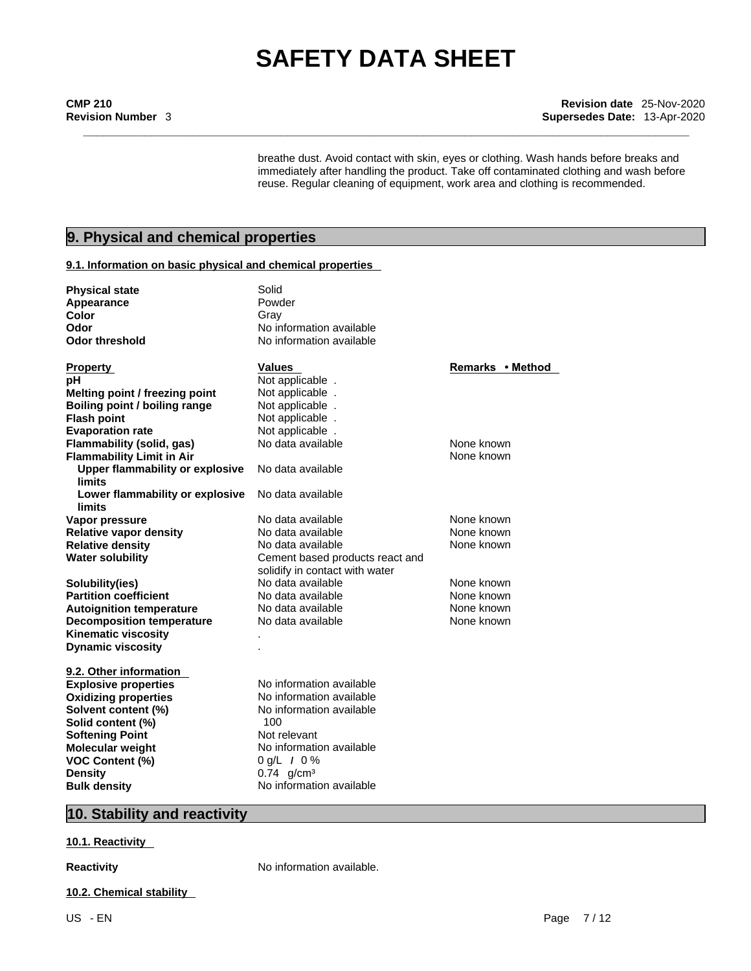## **\_\_\_\_\_\_\_\_\_\_\_\_\_\_\_\_\_\_\_\_\_\_\_\_\_\_\_\_\_\_\_\_\_\_\_\_\_\_\_\_\_\_\_\_\_\_\_\_\_\_\_\_\_\_\_\_\_\_\_\_\_\_\_\_\_\_\_\_\_\_\_\_\_\_\_\_\_\_\_\_\_\_\_\_\_\_\_\_\_ CMP 210 Revision date** 25-Nov-2020 **Revision Number** 3 **Supersedes Date:** 13-Apr-2020

breathe dust. Avoid contact with skin, eyes or clothing. Wash hands before breaks and immediately after handling the product. Take off contaminated clothing and wash before reuse. Regular cleaning of equipment, work area and clothing is recommended.

## **9. Physical and chemical properties**

#### **9.1. Information on basic physical and chemical properties**

| <b>Physical state</b>                  | Solid                           |                  |
|----------------------------------------|---------------------------------|------------------|
| Appearance                             | Powder                          |                  |
| <b>Color</b>                           | Gray                            |                  |
| Odor                                   | No information available        |                  |
| <b>Odor threshold</b>                  | No information available        |                  |
|                                        |                                 |                  |
| <b>Property</b>                        | <b>Values</b>                   | Remarks • Method |
| рH                                     | Not applicable.                 |                  |
| Melting point / freezing point         | Not applicable.                 |                  |
| Boiling point / boiling range          | Not applicable.                 |                  |
| <b>Flash point</b>                     | Not applicable.                 |                  |
| <b>Evaporation rate</b>                | Not applicable.                 |                  |
| Flammability (solid, gas)              | No data available               | None known       |
| <b>Flammability Limit in Air</b>       |                                 | None known       |
| <b>Upper flammability or explosive</b> | No data available               |                  |
| limits                                 |                                 |                  |
| Lower flammability or explosive        | No data available               |                  |
| limits                                 |                                 |                  |
| Vapor pressure                         | No data available               | None known       |
| <b>Relative vapor density</b>          | No data available               | None known       |
| <b>Relative density</b>                | No data available               | None known       |
| <b>Water solubility</b>                | Cement based products react and |                  |
|                                        | solidify in contact with water  |                  |
| Solubility(ies)                        | No data available               | None known       |
| <b>Partition coefficient</b>           | No data available               | None known       |
| <b>Autoignition temperature</b>        | No data available               | None known       |
| <b>Decomposition temperature</b>       | No data available               | None known       |
| <b>Kinematic viscosity</b>             |                                 |                  |
| <b>Dynamic viscosity</b>               |                                 |                  |
| 9.2. Other information                 |                                 |                  |
| <b>Explosive properties</b>            | No information available        |                  |
| <b>Oxidizing properties</b>            | No information available        |                  |
| Solvent content (%)                    | No information available        |                  |
| Solid content (%)                      | 100                             |                  |
| <b>Softening Point</b>                 | Not relevant                    |                  |
| <b>Molecular weight</b>                | No information available        |                  |
|                                        | $0 g/L$ / $0 \%$                |                  |
| <b>VOC Content (%)</b>                 | $0.74$ g/cm <sup>3</sup>        |                  |
| <b>Density</b>                         | No information available        |                  |
| <b>Bulk density</b>                    |                                 |                  |

### **10. Stability and reactivity**

#### **10.1. Reactivity**

**Reactivity No information available.** 

**10.2. Chemical stability**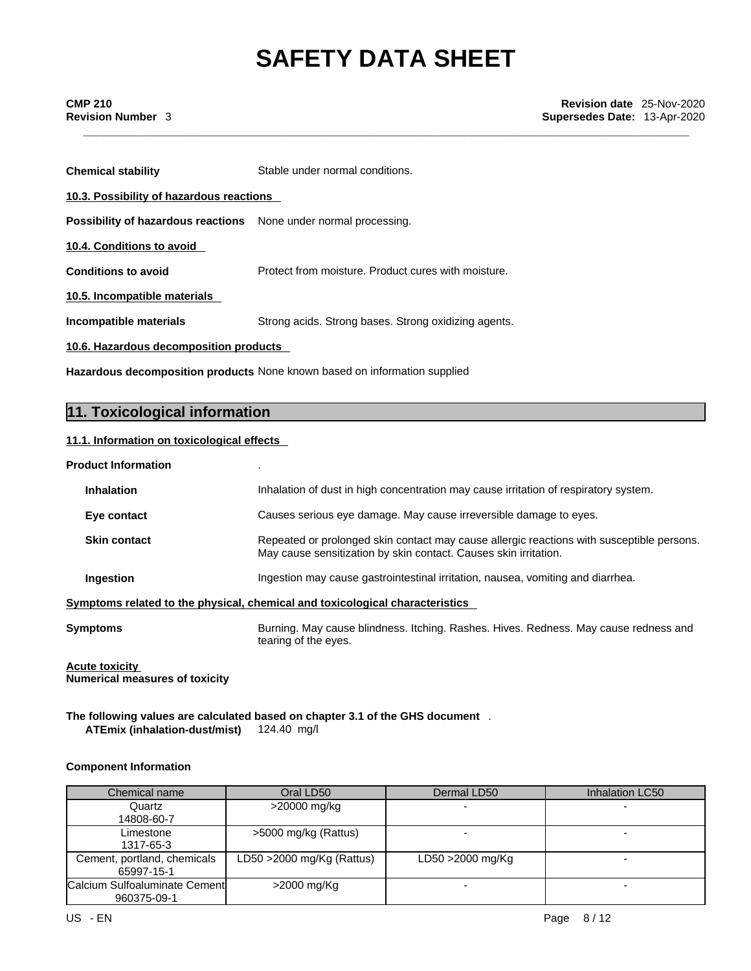| <b>Chemical stability</b>                                               | Stable under normal conditions.                      |  |  |  |
|-------------------------------------------------------------------------|------------------------------------------------------|--|--|--|
| 10.3. Possibility of hazardous reactions                                |                                                      |  |  |  |
| <b>Possibility of hazardous reactions</b> None under normal processing. |                                                      |  |  |  |
| 10.4. Conditions to avoid                                               |                                                      |  |  |  |
| <b>Conditions to avoid</b>                                              | Protect from moisture. Product cures with moisture.  |  |  |  |
| 10.5. Incompatible materials                                            |                                                      |  |  |  |
| Incompatible materials                                                  | Strong acids. Strong bases. Strong oxidizing agents. |  |  |  |
| 10.6. Hazardous decomposition products                                  |                                                      |  |  |  |

**Hazardous decomposition products** None known based on information supplied

## **11. Toxicological information**

#### **11.1. Information on toxicologicaleffects**

| <b>Product Information</b> |  |  |
|----------------------------|--|--|
|----------------------------|--|--|

| <b>Inhalation</b>   | Inhalation of dust in high concentration may cause irritation of respiratory system.                                                                          |
|---------------------|---------------------------------------------------------------------------------------------------------------------------------------------------------------|
| Eye contact         | Causes serious eye damage. May cause irreversible damage to eyes.                                                                                             |
| <b>Skin contact</b> | Repeated or prolonged skin contact may cause allergic reactions with susceptible persons.<br>May cause sensitization by skin contact. Causes skin irritation. |
| <b>Ingestion</b>    | Ingestion may cause gastrointestinal irritation, nausea, vomiting and diarrhea.                                                                               |
|                     | Symptoms related to the physical, chemical and toxicological characteristics                                                                                  |
| Symptoms            | Burning. May cause blindness. Itching. Rashes. Hives. Redness. May cause redness and<br>tearing of the eyes.                                                  |

**Acute toxicity Numerical measures of toxicity**

#### **The following values are calculated based on chapter 3.1 of the GHS document** .**ATEmix (inhalation-dust/mist)** 124.40 mg/l

#### **Component Information**

| Chemical name                                | Oral LD50                    | Dermal LD50      | Inhalation LC50 |
|----------------------------------------------|------------------------------|------------------|-----------------|
| Quartz                                       | >20000 mg/kg                 |                  |                 |
| 14808-60-7                                   |                              |                  |                 |
| Limestone                                    | >5000 mg/kg (Rattus)         |                  |                 |
| 1317-65-3                                    |                              |                  |                 |
| Cement, portland, chemicals<br>65997-15-1    | LD50 $>$ 2000 mg/Kg (Rattus) | LD50 >2000 mg/Kg |                 |
| Calcium Sulfoaluminate Cement<br>960375-09-1 | >2000 mg/Kg                  |                  |                 |
| US - EN                                      |                              |                  | 8/12<br>Page    |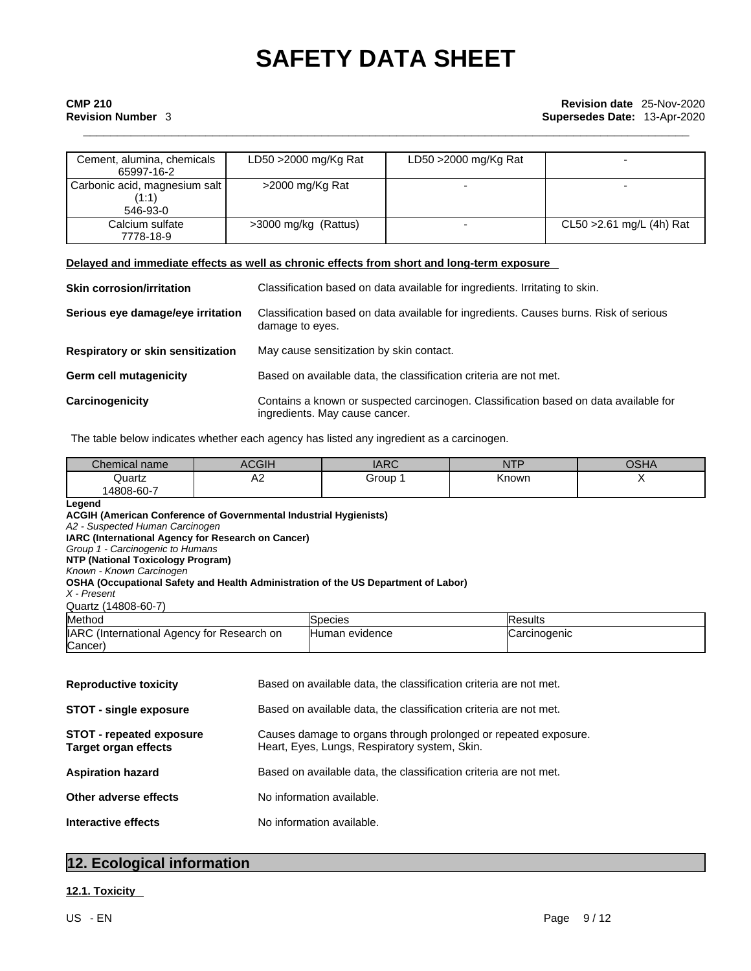| Cement, alumina, chemicals<br>65997-16-2           | LD50 >2000 mg/Kg Rat | LD50 >2000 mg/Kg Rat |                           |
|----------------------------------------------------|----------------------|----------------------|---------------------------|
| Carbonic acid, magnesium salt<br>(1:1)<br>546-93-0 | >2000 mg/Kg Rat      |                      |                           |
| Calcium sulfate<br>7778-18-9                       | >3000 mg/kg (Rattus) |                      | CL50 > 2.61 mg/L (4h) Rat |

#### **Delayed and immediate effects as well as chronic effects from short and long-term exposure**

| <b>Skin corrosion/irritation</b>  | Classification based on data available for ingredients. Irritating to skin.                                            |
|-----------------------------------|------------------------------------------------------------------------------------------------------------------------|
| Serious eye damage/eye irritation | Classification based on data available for ingredients. Causes burns. Risk of serious<br>damage to eyes.               |
| Respiratory or skin sensitization | May cause sensitization by skin contact.                                                                               |
| Germ cell mutagenicity            | Based on available data, the classification criteria are not met.                                                      |
| Carcinogenicity                   | Contains a known or suspected carcinogen. Classification based on data available for<br>ingredients. May cause cancer. |

The table below indicates whether each agency has listed any ingredient as a carcinogen.

| Chemical name | $\bigcap$<br>וווטטח    | IAPC<br><b>IANU</b> | $-$<br>. | 0011<br>USMA |
|---------------|------------------------|---------------------|----------|--------------|
| Quartz        | $\Lambda$ $\sim$<br>rv | Group               | Known    |              |
| 14808-60-7    |                        |                     |          |              |

| Legend<br><b>ACGIH (American Conference of Governmental Industrial Hygienists)</b><br>A2 - Suspected Human Carcinogen<br>IARC (International Agency for Research on Cancer)<br>Group 1 - Carcinogenic to Humans<br><b>NTP (National Toxicology Program)</b><br>Known - Known Carcinogen<br>OSHA (Occupational Safety and Health Administration of the US Department of Labor)<br>X - Present<br>Quartz (14808-60-7) |                                                                                                                  |                                                                   |                |  |
|---------------------------------------------------------------------------------------------------------------------------------------------------------------------------------------------------------------------------------------------------------------------------------------------------------------------------------------------------------------------------------------------------------------------|------------------------------------------------------------------------------------------------------------------|-------------------------------------------------------------------|----------------|--|
| Method                                                                                                                                                                                                                                                                                                                                                                                                              |                                                                                                                  | <b>Species</b>                                                    | <b>Results</b> |  |
| IARC (International Agency for Research on<br>Cancer)                                                                                                                                                                                                                                                                                                                                                               |                                                                                                                  | Human evidence                                                    | Carcinogenic   |  |
| <b>Reproductive toxicity</b>                                                                                                                                                                                                                                                                                                                                                                                        |                                                                                                                  | Based on available data, the classification criteria are not met. |                |  |
| <b>STOT - single exposure</b>                                                                                                                                                                                                                                                                                                                                                                                       |                                                                                                                  | Based on available data, the classification criteria are not met. |                |  |
| <b>STOT - repeated exposure</b><br>Target organ effects                                                                                                                                                                                                                                                                                                                                                             | Causes damage to organs through prolonged or repeated exposure.<br>Heart, Eyes, Lungs, Respiratory system, Skin. |                                                                   |                |  |
| <b>Aspiration hazard</b>                                                                                                                                                                                                                                                                                                                                                                                            | Based on available data, the classification criteria are not met.                                                |                                                                   |                |  |
| Other adverse effects                                                                                                                                                                                                                                                                                                                                                                                               |                                                                                                                  | No information available.                                         |                |  |

**Interactive effects** No information available.

### **12. Ecological information**

### **12.1. Toxicity**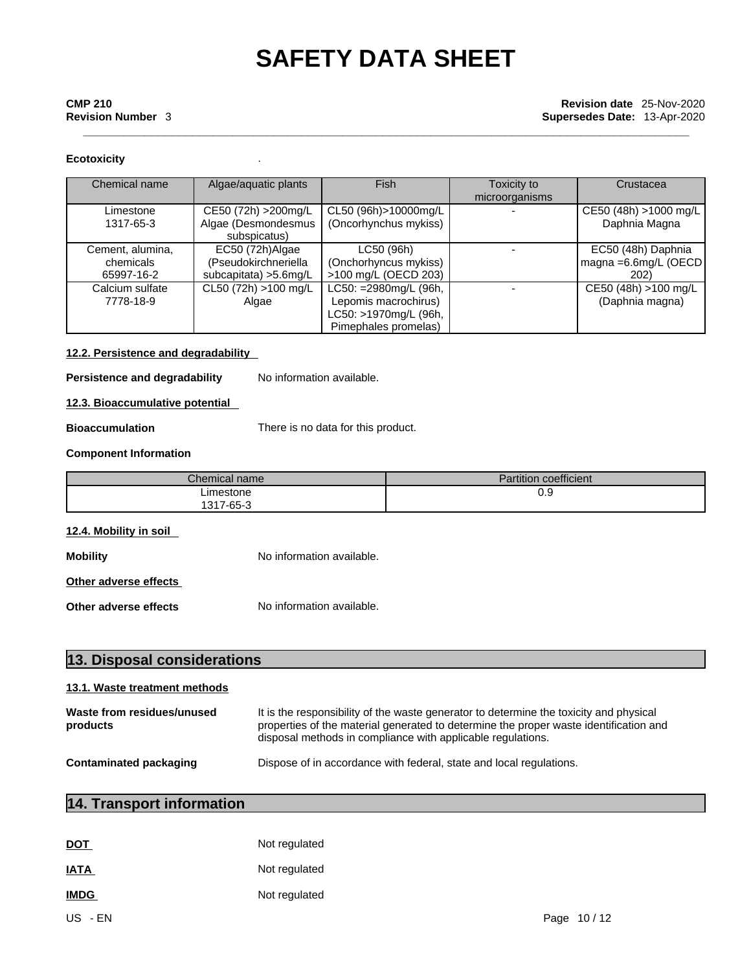# **\_\_\_\_\_\_\_\_\_\_\_\_\_\_\_\_\_\_\_\_\_\_\_\_\_\_\_\_\_\_\_\_\_\_\_\_\_\_\_\_\_\_\_\_\_\_\_\_\_\_\_\_\_\_\_\_\_\_\_\_\_\_\_\_\_\_\_\_\_\_\_\_\_\_\_\_\_\_\_\_\_\_\_\_\_\_\_\_\_ CMP 210 Revision date** 25-Nov-2020 **Revision Number** 3 **Supersedes Date:** 13-Apr-2020

#### **Ecotoxicity** .

| Chemical name                               | Algae/aquatic plants                                              | Fish                                                                                           | Toxicity to<br>microorganisms | Crustacea                                               |
|---------------------------------------------|-------------------------------------------------------------------|------------------------------------------------------------------------------------------------|-------------------------------|---------------------------------------------------------|
| Limestone<br>1317-65-3                      | CE50 (72h) > 200mg/L<br>Algae (Desmondesmus<br>subspicatus)       | CL50 (96h)>10000mg/L<br>(Oncorhynchus mykiss)                                                  |                               | CE50 (48h) >1000 mg/L<br>Daphnia Magna                  |
| Cement, alumina,<br>chemicals<br>65997-16-2 | EC50 (72h)Algae<br>(Pseudokirchneriella<br>subcapitata) > 5.6mg/L | LC50 (96h)<br>(Onchorhyncus mykiss)<br>>100 mg/L (OECD 203)                                    |                               | EC50 (48h) Daphnia<br>magna = $6.6$ mg/L (OECD)<br>202) |
| Calcium sulfate<br>7778-18-9                | CL50 (72h) >100 mg/L<br>Algae                                     | LC50: =2980mg/L (96h,<br>Lepomis macrochirus)<br>LC50: >1970mg/L (96h,<br>Pimephales promelas) |                               | CE50 (48h) >100 mg/L<br>(Daphnia magna)                 |

#### **12.2. Persistence and degradability**

**Persistence and degradability** No information available.

#### **12.3. Bioaccumulative potential**

**Bioaccumulation** There is no data for this product.

#### **Component Information**

| $\mathcal L$ hemical name | <b>Partition coefficient</b> |
|---------------------------|------------------------------|
| _imestone                 | ∪.ວ                          |
| 1317-65-3<br>່ບ           |                              |

#### **12.4. Mobility in soil**

**Mobility Mobility** No information available.

**Other adverse effects**

**Other adverse effects** No information available.

| 13. Disposal considerations            |                                                                                                                                                                                                                                                |  |
|----------------------------------------|------------------------------------------------------------------------------------------------------------------------------------------------------------------------------------------------------------------------------------------------|--|
| 13.1. Waste treatment methods          |                                                                                                                                                                                                                                                |  |
| Waste from residues/unused<br>products | It is the responsibility of the waste generator to determine the toxicity and physical<br>properties of the material generated to determine the proper waste identification and<br>disposal methods in compliance with applicable regulations. |  |
| Contaminated packaging                 | Dispose of in accordance with federal, state and local regulations.                                                                                                                                                                            |  |

## **14. Transport information**

| <b>DOT</b>  | Not regulated |            |
|-------------|---------------|------------|
| <b>IATA</b> | Not regulated |            |
| <b>IMDG</b> | Not regulated |            |
| US - EN     |               | Page 10/12 |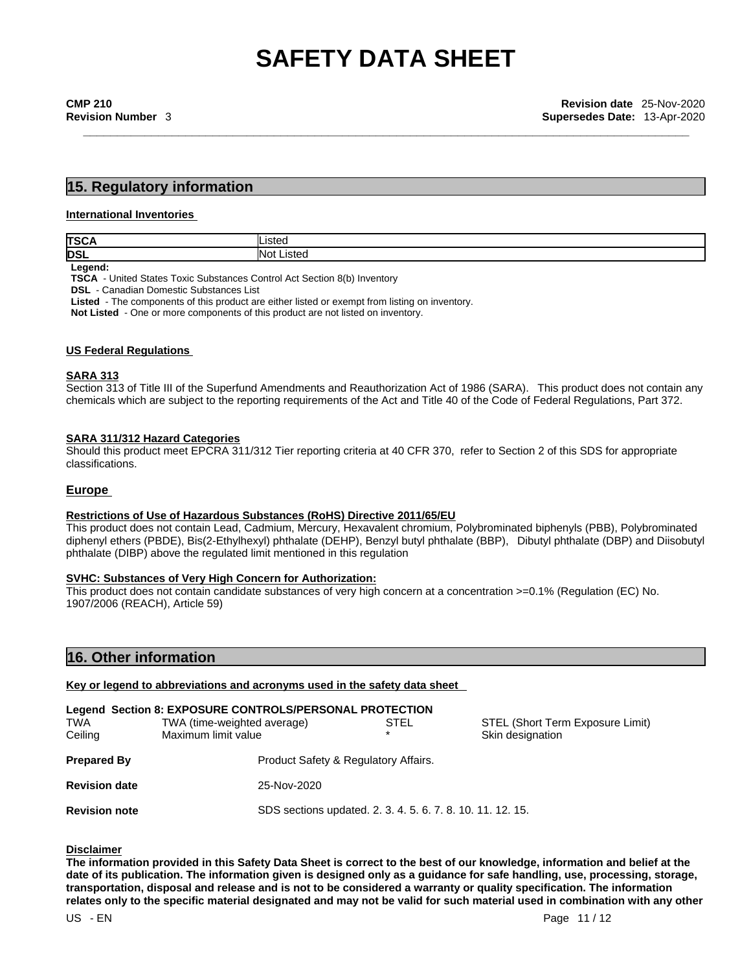### **15. Regulatory information**

#### **International Inventories**

| <b>TSCA</b> | .isteo              |
|-------------|---------------------|
| DSL         | <b>Not</b><br>ustec |
| المموم ا    |                     |

**Legend:**

**TSCA** - United States Toxic Substances Control Act Section 8(b) Inventory

**DSL** - Canadian Domestic Substances List

**Listed** - The components of this product are either listed or exempt from listing on inventory.

**Not Listed** - One or more components of this product are not listed on inventory.

#### **US Federal Regulations**

#### **SARA 313**

Section 313 of Title III of the Superfund Amendments and Reauthorization Act of 1986 (SARA). This product does not contain any chemicals which are subject to the reporting requirements of the Act and Title 40 of the Code of Federal Regulations, Part 372.

#### **SARA 311/312 Hazard Categories**

Should this product meet EPCRA 311/312 Tier reporting criteria at 40 CFR 370, refer to Section 2 of this SDS for appropriate classifications.

#### **Europe**

#### **Restrictions of Use of Hazardous Substances (RoHS) Directive 2011/65/EU**

This product does not contain Lead, Cadmium, Mercury, Hexavalent chromium, Polybrominated biphenyls (PBB), Polybrominated diphenyl ethers (PBDE), Bis(2-Ethylhexyl) phthalate (DEHP), Benzyl butyl phthalate (BBP), Dibutyl phthalate (DBP) and Diisobutyl phthalate (DIBP) above the regulated limit mentioned in this regulation

#### **SVHC: Substances of Very High Concern for Authorization:**

This product does not contain candidate substances of very high concern at a concentration >=0.1% (Regulation (EC) No. 1907/2006 (REACH), Article 59)

### **16. Other information**

**Key or legend to abbreviations and acronyms used in the safety data sheet**

| <b>TWA</b><br>Ceiling | Legend Section 8: EXPOSURE CONTROLS/PERSONAL PROTECTION<br>TWA (time-weighted average)<br>Maximum limit value | STEL | STEL (Short Term Exposure Limit)<br>Skin designation |
|-----------------------|---------------------------------------------------------------------------------------------------------------|------|------------------------------------------------------|
| <b>Prepared By</b>    | Product Safety & Regulatory Affairs.                                                                          |      |                                                      |
| <b>Revision date</b>  | 25-Nov-2020                                                                                                   |      |                                                      |
| <b>Revision note</b>  | SDS sections updated. 2. 3. 4. 5. 6. 7. 8. 10. 11. 12. 15.                                                    |      |                                                      |

#### **Disclaimer**

The information provided in this Safety Data Sheet is correct to the best of our knowledge, information and belief at the date of its publication. The information given is designed only as a guidance for safe handling, use, processing, storage, transportation, disposal and release and is not to be considered a warranty or quality specification. The information relates only to the specific material designated and may not be valid for such material used in combination with any other